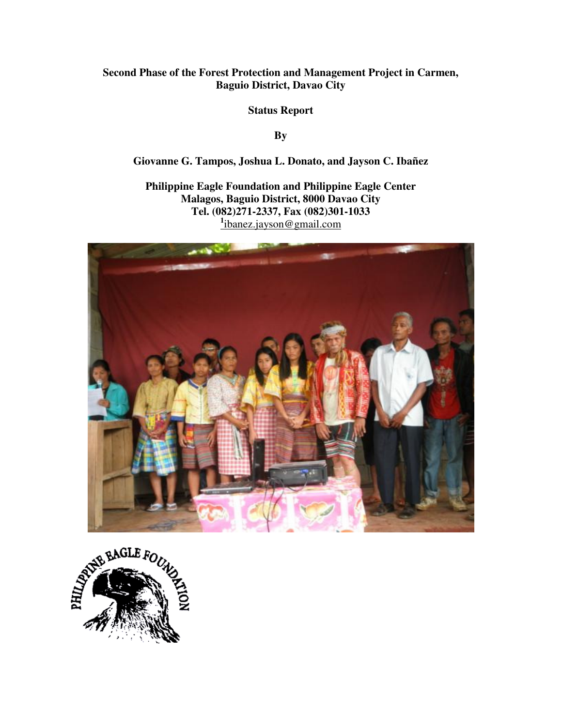# **Second Phase of the Forest Protection and Management Project in Carmen, Baguio District, Davao City**

**Status Report** 

**By** 

**Giovanne G. Tampos, Joshua L. Donato, and Jayson C. Ibañez** 

**Philippine Eagle Foundation and Philippine Eagle Center Malagos, Baguio District, 8000 Davao City Tel. (082)271-2337, Fax (082)301-1033 1** ibanez.jayson@gmail.com



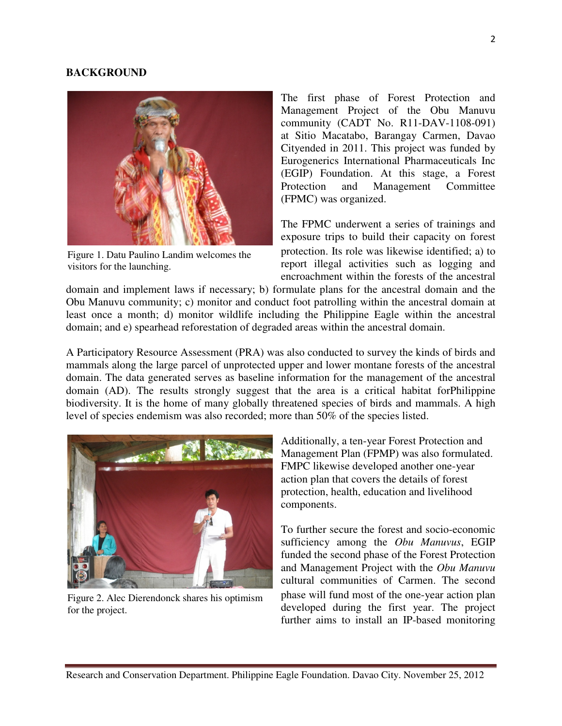### **BACKGROUND**



Figure 1. Datu Paulino Landim welcomes the visitors for the launching.

The first phase of Forest Protection and Management Project of the Obu Manuvu community (CADT No. R11-DAV-1108-091) at Sitio Macatabo, Barangay Carmen, Davao Cityended in 2011. This project was funded by Eurogenerics International Pharmaceuticals Inc (EGIP) Foundation. At this stage, a Forest Protection and Management Committee (FPMC) was organized.

The FPMC underwent a series of trainings and exposure trips to build their capacity on forest protection. Its role was likewise identified; a) to report illegal activities such as logging and encroachment within the forests of the ancestral

domain and implement laws if necessary; b) formulate plans for the ancestral domain and the Obu Manuvu community; c) monitor and conduct foot patrolling within the ancestral domain at least once a month; d) monitor wildlife including the Philippine Eagle within the ancestral domain; and e) spearhead reforestation of degraded areas within the ancestral domain.

A Participatory Resource Assessment (PRA) was also conducted to survey the kinds of birds and mammals along the large parcel of unprotected upper and lower montane forests of the ancestral domain. The data generated serves as baseline information for the management of the ancestral domain (AD). The results strongly suggest that the area is a critical habitat forPhilippine biodiversity. It is the home of many globally threatened species of birds and mammals. A high level of species endemism was also recorded; more than 50% of the species listed.



Figure 2. Alec Dierendonck shares his optimism for the project.

Additionally, a ten-year Forest Protection and Management Plan (FPMP) was also formulated. FMPC likewise developed another one-year action plan that covers the details of forest protection, health, education and livelihood components.

To further secure the forest and socio-economic sufficiency among the *Obu Manuvus*, EGIP funded the second phase of the Forest Protection and Management Project with the *Obu Manuvu*  cultural communities of Carmen. The second phase will fund most of the one-year action plan developed during the first year. The project further aims to install an IP-based monitoring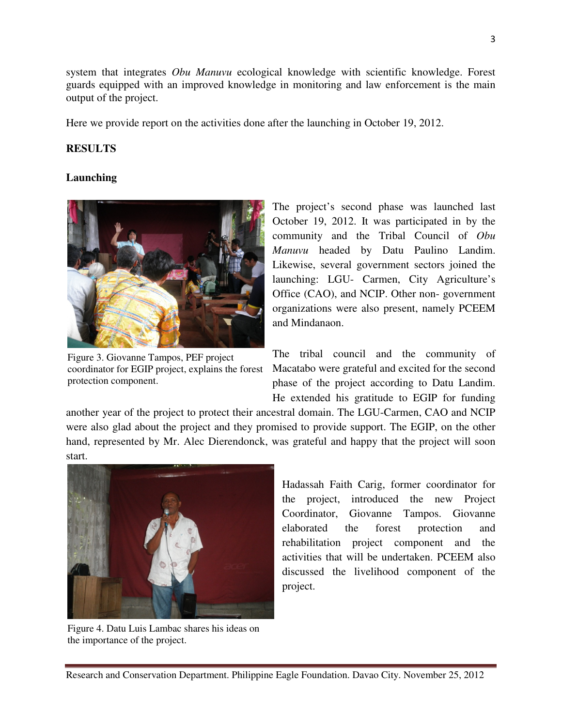system that integrates *Obu Manuvu* ecological knowledge with scientific knowledge. Forest guards equipped with an improved knowledge in monitoring and law enforcement is the main output of the project.

Here we provide report on the activities done after the launching in October 19, 2012.

# **RESULTS**

## **Launching**



Figure 3. Giovanne Tampos, PEF project coordinator for EGIP project, explains the forest protection component.

The project's second phase was launched last October 19, 2012. It was participated in by the community and the Tribal Council of *Obu Manuvu* headed by Datu Paulino Landim. Likewise, several government sectors joined the launching: LGU- Carmen, City Agriculture's Office (CAO), and NCIP. Other non- government organizations were also present, namely PCEEM and Mindanaon.

The tribal council and the community of Macatabo were grateful and excited for the second phase of the project according to Datu Landim. He extended his gratitude to EGIP for funding

another year of the project to protect their ancestral domain. The LGU-Carmen, CAO and NCIP were also glad about the project and they promised to provide support. The EGIP, on the other hand, represented by Mr. Alec Dierendonck, was grateful and happy that the project will soon start.



Figure 4. Datu Luis Lambac shares his ideas on the importance of the project.

Hadassah Faith Carig, former coordinator for the project, introduced the new Project Coordinator, Giovanne Tampos. Giovanne elaborated the forest protection and rehabilitation project component and the activities that will be undertaken. PCEEM also discussed the livelihood component of the project.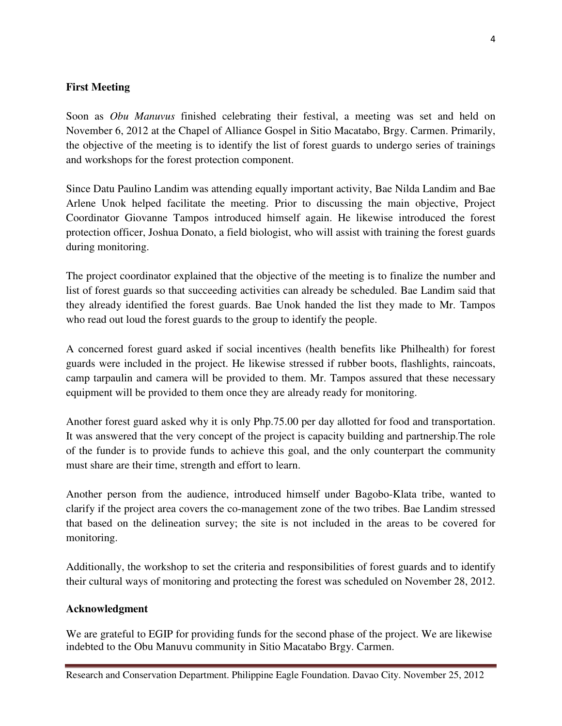# **First Meeting**

Soon as *Obu Manuvus* finished celebrating their festival, a meeting was set and held on November 6, 2012 at the Chapel of Alliance Gospel in Sitio Macatabo, Brgy. Carmen. Primarily, the objective of the meeting is to identify the list of forest guards to undergo series of trainings and workshops for the forest protection component.

Since Datu Paulino Landim was attending equally important activity, Bae Nilda Landim and Bae Arlene Unok helped facilitate the meeting. Prior to discussing the main objective, Project Coordinator Giovanne Tampos introduced himself again. He likewise introduced the forest protection officer, Joshua Donato, a field biologist, who will assist with training the forest guards during monitoring.

The project coordinator explained that the objective of the meeting is to finalize the number and list of forest guards so that succeeding activities can already be scheduled. Bae Landim said that they already identified the forest guards. Bae Unok handed the list they made to Mr. Tampos who read out loud the forest guards to the group to identify the people.

A concerned forest guard asked if social incentives (health benefits like Philhealth) for forest guards were included in the project. He likewise stressed if rubber boots, flashlights, raincoats, camp tarpaulin and camera will be provided to them. Mr. Tampos assured that these necessary equipment will be provided to them once they are already ready for monitoring.

Another forest guard asked why it is only Php.75.00 per day allotted for food and transportation. It was answered that the very concept of the project is capacity building and partnership.The role of the funder is to provide funds to achieve this goal, and the only counterpart the community must share are their time, strength and effort to learn.

Another person from the audience, introduced himself under Bagobo-Klata tribe, wanted to clarify if the project area covers the co-management zone of the two tribes. Bae Landim stressed that based on the delineation survey; the site is not included in the areas to be covered for monitoring.

Additionally, the workshop to set the criteria and responsibilities of forest guards and to identify their cultural ways of monitoring and protecting the forest was scheduled on November 28, 2012.

## **Acknowledgment**

We are grateful to EGIP for providing funds for the second phase of the project. We are likewise indebted to the Obu Manuvu community in Sitio Macatabo Brgy. Carmen.